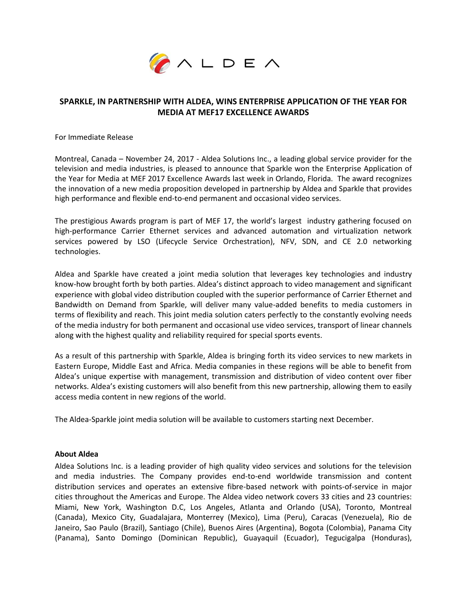

# **SPARKLE, IN PARTNERSHIP WITH ALDEA, WINS ENTERPRISE APPLICATION OF THE YEAR FOR MEDIA AT MEF17 EXCELLENCE AWARDS**

For Immediate Release

Montreal, Canada – November 24, 2017 - Aldea Solutions Inc., a leading global service provider for the television and media industries, is pleased to announce that Sparkle won the Enterprise Application of the Year for Media at MEF 2017 Excellence Awards last week in Orlando, Florida. The award recognizes the innovation of a new media proposition developed in partnership by Aldea and Sparkle that provides high performance and flexible end-to-end permanent and occasional video services.

The prestigious Awards program is part of MEF 17, the world's largest industry gathering focused on high-performance Carrier Ethernet services and advanced automation and virtualization network services powered by LSO (Lifecycle Service Orchestration), NFV, SDN, and CE 2.0 networking technologies.

Aldea and Sparkle have created a joint media solution that leverages key technologies and industry know-how brought forth by both parties. Aldea's distinct approach to video management and significant experience with global video distribution coupled with the superior performance of Carrier Ethernet and Bandwidth on Demand from Sparkle, will deliver many value-added benefits to media customers in terms of flexibility and reach. This joint media solution caters perfectly to the constantly evolving needs of the media industry for both permanent and occasional use video services, transport of linear channels along with the highest quality and reliability required for special sports events.

As a result of this partnership with Sparkle, Aldea is bringing forth its video services to new markets in Eastern Europe, Middle East and Africa. Media companies in these regions will be able to benefit from Aldea's unique expertise with management, transmission and distribution of video content over fiber networks. Aldea's existing customers will also benefit from this new partnership, allowing them to easily access media content in new regions of the world.

The Aldea-Sparkle joint media solution will be available to customers starting next December.

#### **About Aldea**

Aldea Solutions Inc. is a leading provider of high quality video services and solutions for the television and media industries. The Company provides end-to-end worldwide transmission and content distribution services and operates an extensive fibre-based network with points-of-service in major cities throughout the Americas and Europe. The Aldea video network covers 33 cities and 23 countries: Miami, New York, Washington D.C, Los Angeles, Atlanta and Orlando (USA), Toronto, Montreal (Canada), Mexico City, Guadalajara, Monterrey (Mexico), Lima (Peru), Caracas (Venezuela), Rio de Janeiro, Sao Paulo (Brazil), Santiago (Chile), Buenos Aires (Argentina), Bogota (Colombia), Panama City (Panama), Santo Domingo (Dominican Republic), Guayaquil (Ecuador), Tegucigalpa (Honduras),